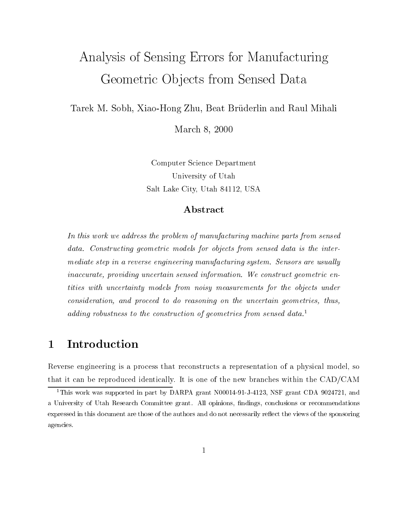# Analysis of Sensing Errors for Manufacturing Geometric Ob jects from Sensed Data

 $T$ arek M. Sobh, Xiao-Hong Zhu, Bruderlin and Raul Mihali, Bruderlin and Raul Mihali, Raul Mihali, Raul Mihali, R

————————————————————

Computer Science Department University of Utah Salt Lake City, Utah 84112, USA

#### Abstract

In this work we address the problem of manufacturing machine parts from sensed data. Constructing geometric models for objects from sensed data is the intermediate step in a reverse engineering manufacturing system. Sensors are usually inaccurate, providing uncertain sensed information. We construct geometric entities with uncertainty models from noisy measurements for the objects under consideration, and proceed to do reasoning on the uncertain geometries, thus, adding robustness to the construction of geometries from sensed data.<sup>1</sup>

### <sup>1</sup> Introduction

Reverse engineering is a process that reconstructs a representation of a physical model, so that it can be reproduced identically. It is one of the new branches within the CAD/CAM

<sup>&</sup>lt;sup>1</sup>This work was supported in part by DARPA grant N00014-91-J-4123, NSF grant CDA 9024721, and a University of Utah Research Committee grant. All opinions, ndings, conclusions or recommendations expressed in this document are those of the authors and do not necessarily reflect the views of the sponsoring agencies.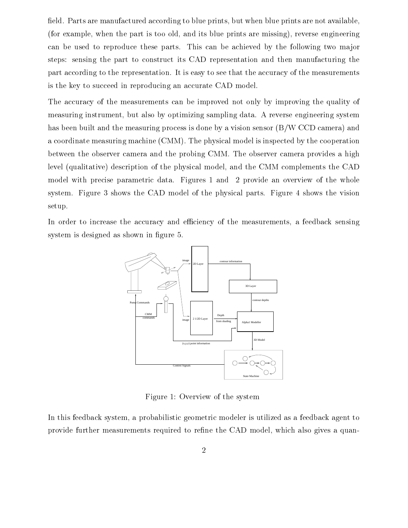field. Parts are manufactured according to blue prints, but when blue prints are not available, (for example, when the part is too old, and its blue prints are missing), reverse engineering can be used to reproduce these parts. This can be achieved by the following two major steps: sensing the part to construct its CAD representation and then manufacturing the part according to the representation. It is easy to see that the accuracy of the measurements is the key to succeed in reproducing an accurate CAD model.

The accuracy of the measurements can be improved not only by improving the quality of measuring instrument, but also by optimizing sampling data. A reverse engineering system has been built and the measuring process is done by a vision sensor (B/W CCD camera) and a coordinate measuring machine (CMM). The physical model is inspected by the cooperation between the observer camera and the probing CMM. The observer camera provides a high level (qualitative) description of the physical model, and the CMM complements the CAD model with precise parametric data. Figures 1 and 2 provide an overview of the whole system. Figure 3 shows the CAD model of the physical parts. Figure 4 shows the vision setup.

In order to increase the accuracy and efficiency of the measurements, a feedback sensing system is designed as shown in figure 5.



Figure 1: Overview of the system

In this feedback system, a probabilistic geometric modeler is utilized as a feedback agent to provide further measurements required to refine the CAD model, which also gives a quan-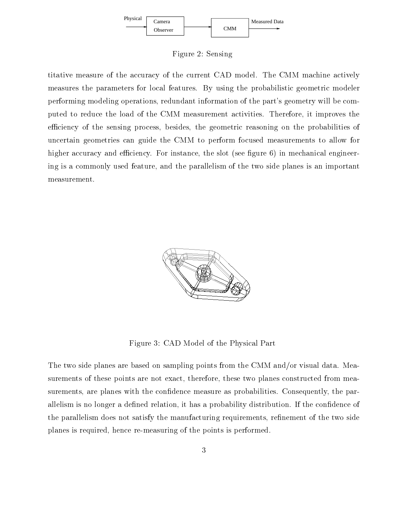

Figure 2: Sensing

titative measure of the accuracy of the current CAD model. The CMM machine actively measures the parameters for local features. By using the probabilistic geometric modeler performing modeling operations, redundant information of the part's geometry will be computed to reduce the load of the CMM measurement activities. Therefore, it improves the efficiency of the sensing process, besides, the geometric reasoning on the probabilities of uncertain geometries can guide the CMM to perform focused measurements to allow for higher accuracy and efficiency. For instance, the slot (see figure  $6$ ) in mechanical engineering is a commonly used feature, and the parallelism of the two side planes is an important measurement.



Figure 3: CAD Model of the Physical Part

The two side planes are based on sampling points from the CMM and/or visual data. Measurements of these points are not exact, therefore, these two planes constructed from measurements, are planes with the confidence measure as probabilities. Consequently, the parallelism is no longer a defined relation, it has a probability distribution. If the confidence of the parallelism does not satisfy the manufacturing requirements, refinement of the two side planes is required, hence re-measuring of the points is performed.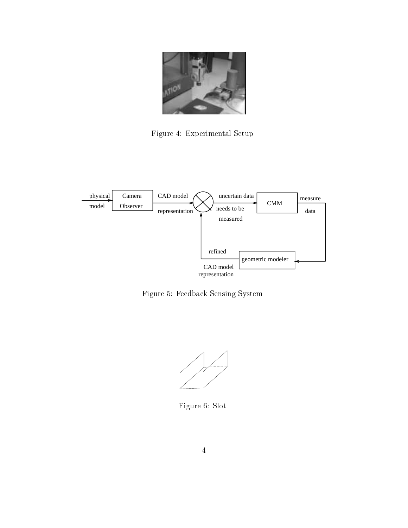

Figure 4: Experimental Setup



Figure 5: Feedback Sensing System



Figure 6: Slot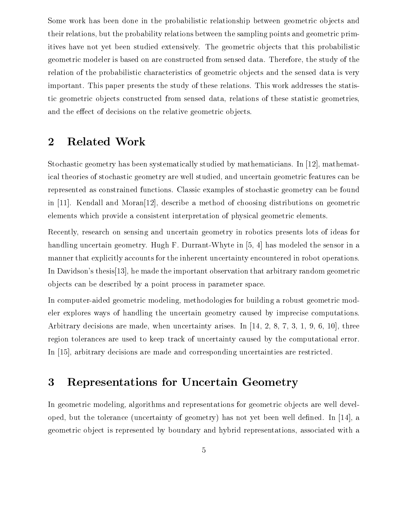Some work has been done in the probabilistic relationship between geometric objects and their relations, but the probability relations between the sampling points and geometric primitives have not yet been studied extensively. The geometric objects that this probabilistic geometric modeler is based on are constructed from sensed data. Therefore, the study of the relation of the probabilistic characteristics of geometric objects and the sensed data is very important. This paper presents the study of these relations. This work addresses the statistic geometric objects constructed from sensed data, relations of these statistic geometries, and the effect of decisions on the relative geometric objects.

### <sup>2</sup> Related Work

Stochastic geometry has been systematically studied by mathematicians. In [12], mathematical theories of stochastic geometry are well studied, and uncertain geometric features can be represented as constrained functions. Classic examples of stochastic geometry can be found in [11]. Kendall and Moran[12], describe a method of choosing distributions on geometric elements which provide a consistent interpretation of physical geometric elements.

Recently, research on sensing and uncertain geometry in robotics presents lots of ideas for handling uncertain geometry. Hugh F. Durrant-Whyte in [5, 4] has modeled the sensor in a manner that explicitly accounts for the inherent uncertainty encountered in robot operations. In Davidson's thesis[13], he made the important observation that arbitrary random geometric ob jects can be described by a point process in parameter space.

In computer-aided geometric modeling, methodologies for building a robust geometric modeler explores ways of handling the uncertain geometry caused by imprecise computations. Arbitrary decisions are made, when uncertainty arises. In [14, 2, 8, 7, 3, 1, 9, 6, 10], three region tolerances are used to keep track of uncertainty caused by the computational error. In [15], arbitrary decisions are made and corresponding uncertainties are restricted.

### <sup>3</sup> Representations for Uncertain Geometry

In geometric modeling, algorithms and representations for geometric objects are well developed, but the tolerance (uncertainty of geometry) has not yet been well defined. In  $[14]$ , a geometric ob ject is represented by boundary and hybrid representations, associated with a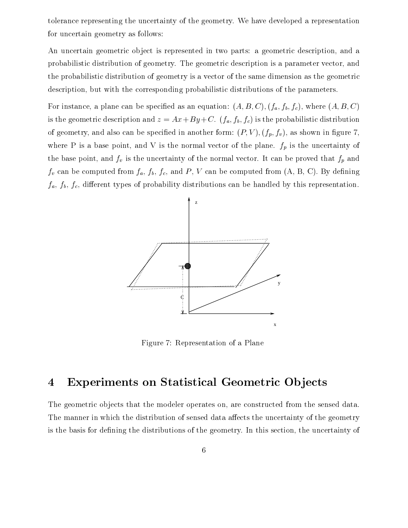tolerance representing the uncertainty of the geometry. We have developed a representation for uncertain geometry as follows:

An uncertain geometric object is represented in two parts: a geometric description, and a probabilistic distribution of geometry. The geometric description is a parameter vector, and the probabilistic distribution of geometry is a vector of the same dimension as the geometric description, but with the corresponding probabilistic distributions of the parameters.

For instance, a plane can be specified as an equation:  $(A, B, C), (f_a, f_b, f_c)$ , where  $(A, B, C)$ is the geometric description and  $z = Ax + By + C$ .  $(f_a, f_b, f_c)$  is the probabilistic distribution of geometry, and also can be specified in another form:  $(P, V), (f_p, f_v)$ , as shown in figure 7, where P is a base point, and V is the normal vector of the plane.  $f_p$  is the uncertainty of the base point, and  $f_v$  is the uncertainty of the normal vector. It can be proved that  $f_p$  and  $f_v$  can be computed from  $f_a$ ,  $f_b$ ,  $f_c$ , and P, V can be computed from  $(A, B, C)$ . By defining  $f_a, f_b, f_c$ , different types of probability distributions can be handled by this representation.



Figure 7: Representation of a Plane

### 4 Experiments on Statistical Geometric Objects

The geometric objects that the modeler operates on, are constructed from the sensed data. The manner in which the distribution of sensed data affects the uncertainty of the geometry is the basis for defining the distributions of the geometry. In this section, the uncertainty of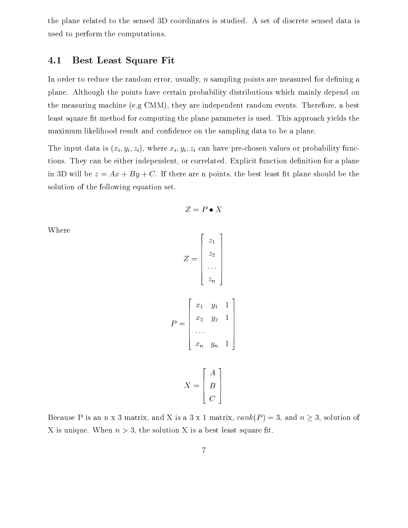the plane related to the sensed 3D coordinates is studied. A set of discrete sensed data is used to perform the computations.

#### 4.1 Best Least Square Fit

In order to reduce the random error, usually,  $n$  sampling points are measured for defining a plane. Although the points have certain probability distributions which mainly depend on the measuring machine (e.g CMM), they are independent random events. Therefore, a best least square fit method for computing the plane parameter is used. This approach yields the maximum likelihood result and condence on the sampling data to be a plane.

The input data is  $(x_i, y_i, z_i)$ , where  $x_i, y_i, z_i$  can have pre-chosen values or probability functions. They can be either independent, or correlated. Explicit function definition for a plane in 3D will be  $z = Ax + By + C$ . If there are n points, the best least fit plane should be the solution of the following equation set.

 $Z = P \bullet X$ 

Where

$$
Z = \begin{bmatrix} z_1 \\ z_2 \\ \vdots \\ z_n \end{bmatrix}
$$

$$
P = \begin{bmatrix} x_1 & y_1 & 1 \\ x_2 & y_2 & 1 \\ \vdots & \vdots & \vdots \\ x_2 & y_2 & 1 \\ \vdots & \vdots & \vdots \\ x_2 & y_2 & 1 \end{bmatrix}
$$

$$
X = \begin{bmatrix} A \\ B \\ C \end{bmatrix}
$$

xn yn <sup>1</sup>

<sup>3</sup>

<sup>7</sup> <sup>7</sup> <sup>7</sup> <sup>7</sup> <sup>7</sup> <sup>7</sup> <sup>7</sup> <sup>5</sup>

Because P is an n x 3 matrix, and X is a 3 x 1 matrix,  $rank(P) = 3$ , and  $n \ge 3$ , solution of X is unique. When  $n > 3$ , the solution X is a best least square fit.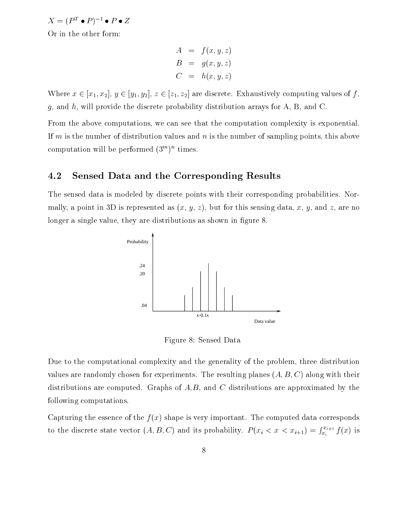$X = (P^T \bullet P)^{-1} \bullet P \bullet Z$ 

Or in the other form:

$$
A = f(x, y, z)
$$
  
\n
$$
B = g(x, y, z)
$$
  
\n
$$
C = h(x, y, z)
$$

Where  $x \in [x_1, x_2], y \in [y_1, y_2], z \in [z_1, z_2]$  are discrete. Exhaustively computing values of f,  $g$ , and  $h$ , will provide the discrete probability distribution arrays for A, B, and C.

From the above computations, we can see that the computation complexity is exponential. If m is the number of distribution values and  $n$  is the number of sampling points, this above computation will be performed (5 ) —times.

#### 4.2 Sensed Data and the Corresponding Results

The sensed data is modeled by discrete points with their corresponding probabilities. Normally, a point in 3D is represented as  $(x, y, z)$ , but for this sensing data, x, y, and z, are no longer a single value, they are distributions as shown in figure 8.



Figure 8: Sensed Data

Due to the computational complexity and the generality of the problem, three distribution values are randomly chosen for experiments. The resulting planes  $(A, B, C)$  along with their distributions are computed. Graphs of  $A,B$ , and C distributions are approximated by the following computations.

Capturing the essence of the  $f(x)$  shape is very important. The computed data corresponds to the discrete state vector (A; B ; C) and its probability. P (xi)  $\alpha$  its probability. P (xi)  $\alpha$  $\int_{x_i}^{x_{i+1}} f(x)$  is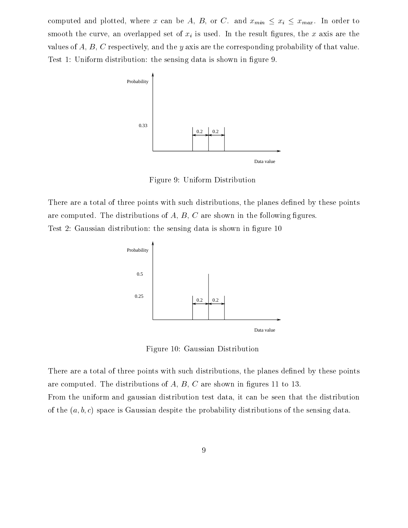computed and plotted, where x can be A, B, or C. and  $x_{min} \leq x_i \leq x_{max}$ . In order to smooth the curve, an overlapped set of  $x_i$  is used. In the result figures, the x axis are the values of  $A, B, C$  respectively, and the y axis are the corresponding probability of that value. Test 1: Uniform distribution: the sensing data is shown in figure 9.



Figure 9: Uniform Distribution

There are a total of three points with such distributions, the planes defined by these points are computed. The distributions of  $A, B, C$  are shown in the following figures. Test 2: Gaussian distribution: the sensing data is shown in figure 10



Figure 10: Gaussian Distribution

There are a total of three points with such distributions, the planes defined by these points are computed. The distributions of  $A, B, C$  are shown in figures 11 to 13. From the uniform and gaussian distribution test data, it can be seen that the distribution of the  $(a, b, c)$  space is Gaussian despite the probability distributions of the sensing data.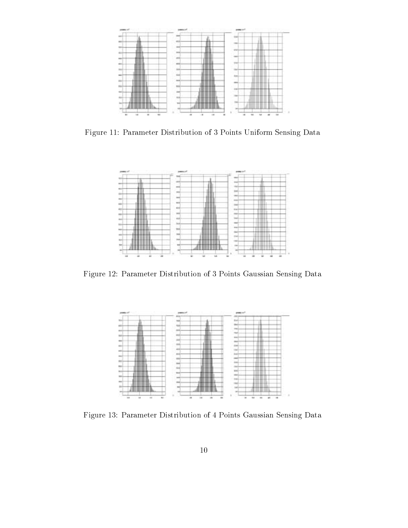

Figure 11: Parameter Distribution of 3 Points Uniform Sensing Data



Figure 12: Parameter Distribution of 3 Points Gaussian Sensing Data



Figure 13: Parameter Distribution of 4 Points Gaussian Sensing Data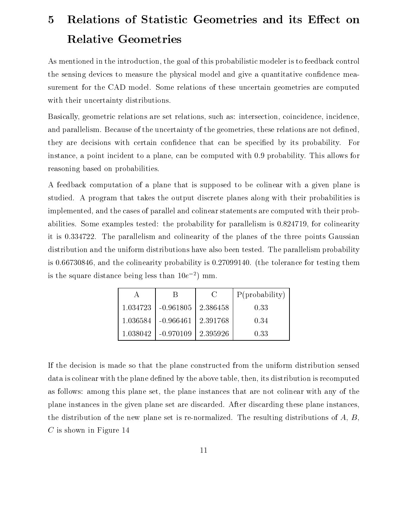## 5 Relations of Statistic Geometries and its Effect on Relative Geometries

As mentioned in the introduction, the goal of this probabilistic modeler is to feedback control the sensing devices to measure the physical model and give a quantitative confidence measurement for the CAD model. Some relations of these uncertain geometries are computed with their uncertainty distributions.

Basically, geometric relations are set relations, such as: intersection, coincidence, incidence, and parallelism. Because of the uncertainty of the geometries, these relations are not defined. they are decisions with certain condence that can be specied by its probability. For instance, a point incident to a plane, can be computed with 0.9 probability. This allows for reasoning based on probabilities.

A feedback computation of a plane that is supposed to be colinear with a given plane is studied. A program that takes the output discrete planes along with their probabilities is implemented, and the cases of parallel and colinear statements are computed with their probabilities. Some examples tested: the probability for parallelism is 0.824719, for colinearity it is 0.334722. The parallelism and colinearity of the planes of the three points Gaussian distribution and the uniform distributions have also been tested. The parallelism probability is 0.66730846, and the colinearity probability is 0.27099140. (the tolerance for testing them is the square distance being less than  $10e^{-2}$ ) mm.

|                                       | <b>C</b> | P(probability) |  |
|---------------------------------------|----------|----------------|--|
| $1.034723$   $-0.961805$   $2.386458$ |          | 0.33           |  |
| $1.036584$   $-0.966461$   $2.391768$ |          | 0.34           |  |
| $1.038042$   $-0.970109$   $2.395926$ |          | 0.33           |  |

If the decision is made so that the plane constructed from the uniform distribution sensed data is colinear with the plane defined by the above table, then, its distribution is recomputed as follows: among this plane set, the plane instances that are not colinear with any of the plane instances in the given plane set are discarded. After discarding these plane instances, the distribution of the new plane set is re-normalized. The resulting distributions of A, B,  $C$  is shown in Figure 14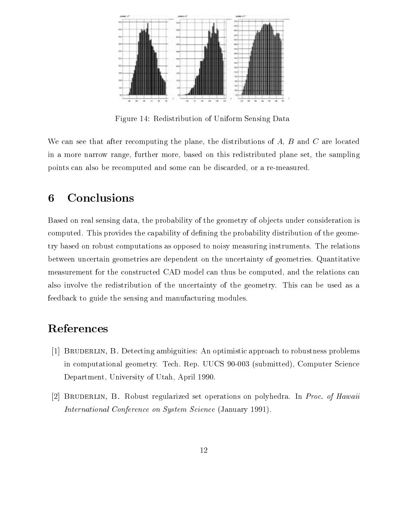

Figure 14: Redistribution of Uniform Sensing Data

We can see that after recomputing the plane, the distributions of  $A, B$  and  $C$  are located in a more narrow range, further more, based on this redistributed plane set, the sampling points can also be recomputed and some can be discarded, or a re-measured.

### <sup>6</sup> Conclusions

Based on real sensing data, the probability of the geometry of objects under consideration is computed. This provides the capability of defining the probability distribution of the geometry based on robust computations as opposed to noisy measuring instruments. The relations between uncertain geometries are dependent on the uncertainty of geometries. Quantitative measurement for the constructed CAD model can thus be computed, and the relations can also involve the redistribution of the uncertainty of the geometry. This can be used as a feedback to guide the sensing and manufacturing modules.

### References

- [1] Bruderlin, B. Detecting ambiguities: An optimistic approach to robustness problems in computational geometry. Tech. Rep. UUCS 90-003 (submitted), Computer Science Department, University of Utah, April 1990.
- [2] Bruderlin, B. Robust regularized set operations on polyhedra. In Proc. of Hawaii International Conference on System Science (January 1991).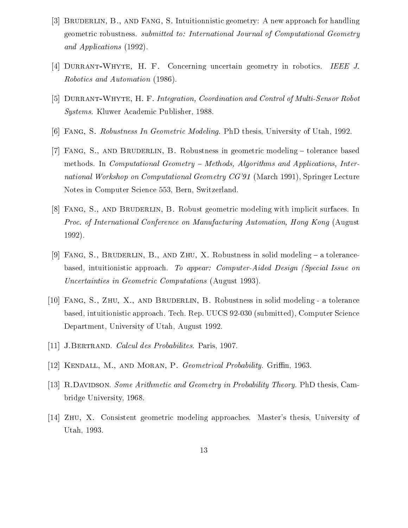- [3] Bruderlin, B., and Fang, S. Intuitionnistic geometry: A new approach for handling geometric robustness. *submitted to: International Journal of Computational Geometry* and Applications (1992).
- [4] Durrant-Whyte, H. F. Concerning uncertain geometry in robotics. IEEE J. Robotics and Automation (1986).
- [5] DURRANT-WHYTE, H. F. Integration, Coordination and Control of Multi-Sensor Robot Systems. Kluwer Academic Publisher, 1988.
- [6] Fang, S. Robustness In Geometric Modeling. PhD thesis, University of Utah, 1992.
- [7] Fang, S., and Bruderlin, B. Robustness in geometric modeling { tolerance based methods. In *Computational Geometry – Methods, Algorithms and Applications, Inter*national Workshop on Computational Geometry CG'91 (March 1991), Springer Lecture Notes in Computer Science 553, Bern, Switzerland.
- [8] Fang, S., and Bruderlin, B. Robust geometric modeling with implicit surfaces. In Proc. of International Conference on Manufacturing Automation, Hong Kong (August 1992).
- [9] FANG, S., BRUDERLIN, B., AND ZHU, X. Robustness in solid modeling  $-$  a tolerancebased, intuitionistic approach. To appear: Computer-Aided Design (Special Issue on Uncertainties in Geometric Computations (August 1993).
- [10] Fang, S., Zhu, X., and Bruderlin, B. Robustness in solid modeling a tolerance based, intuitionistic approach. Tech. Rep. UUCS 92-030 (submitted), Computer Science Department, University of Utah, August 1992.
- [11] J.Bertrand. Calcul des Probabilites. Paris, 1907.
- [12] KENDALL, M., AND MORAN, P. Geometrical Probability. Griffin, 1963.
- [13] R.DAVIDSON. Some Arithmetic and Geometry in Probability Theory. PhD thesis, Cambridge University, 1968.
- [14] Zhu, X. Consistent geometric modeling approaches. Master's thesis, University of Utah, 1993.